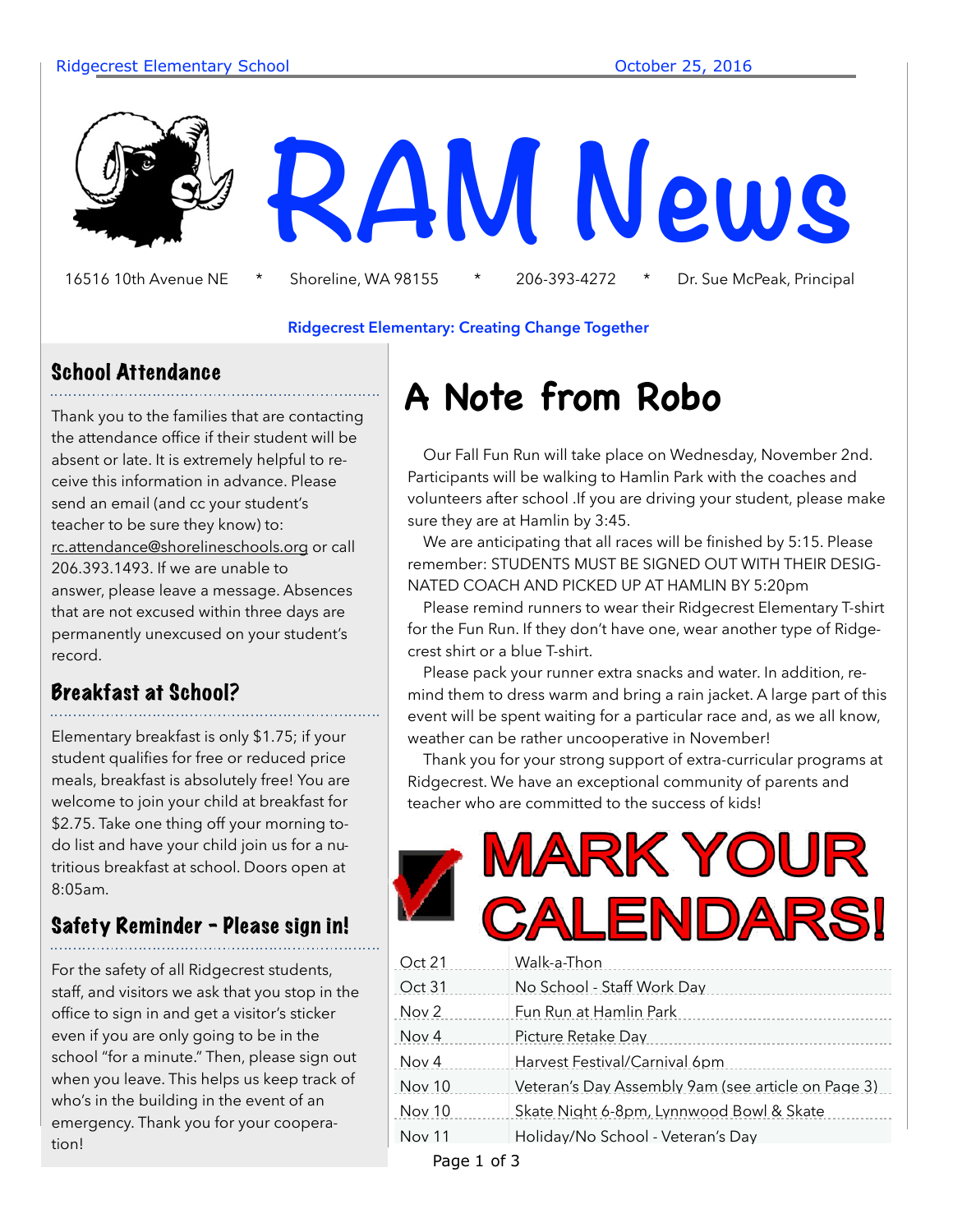

16516 10th Avenue NE \* Shoreline, WA 98155 \* 206-393-4272 \* Dr. Sue McPeak, Principal

#### **Ridgecrest Elementary: Creating Change Together**

### School Attendance

Thank you to the families that are contacting the attendance office if their student will be absent or late. It is extremely helpful to receive this information in advance. Please send an email (and cc your student's teacher to be sure they know) to: [rc.attendance@shorelineschools.org](mailto:rc.attendance@shorelineschools.org) or call 206.393.1493. If we are unable to answer, please leave a message. Absences that are not excused within three days are permanently unexcused on your student's record.

### Breakfast at School?

Elementary breakfast is only \$1.75; if your student qualifies for free or reduced price meals, breakfast is absolutely free! You are welcome to join your child at breakfast for \$2.75. Take one thing off your morning todo list and have your child join us for a nutritious breakfast at school. Doors open at 8:05am.

### Safety Reminder - Please sign in!

For the safety of all Ridgecrest students, staff, and visitors we ask that you stop in the office to sign in and get a visitor's sticker even if you are only going to be in the school "for a minute." Then, please sign out when you leave. This helps us keep track of who's in the building in the event of an emergency. Thank you for your cooperation!

# **A Note from Robo**

 Our Fall Fun Run will take place on Wednesday, November 2nd. Participants will be walking to Hamlin Park with the coaches and volunteers after school .If you are driving your student, please make sure they are at Hamlin by 3:45.

 We are anticipating that all races will be finished by 5:15. Please remember: STUDENTS MUST BE SIGNED OUT WITH THEIR DESIG-NATED COACH AND PICKED UP AT HAMLIN BY 5:20pm

 Please remind runners to wear their Ridgecrest Elementary T-shirt for the Fun Run. If they don't have one, wear another type of Ridgecrest shirt or a blue T-shirt.

 Please pack your runner extra snacks and water. In addition, remind them to dress warm and bring a rain jacket. A large part of this event will be spent waiting for a particular race and, as we all know, weather can be rather uncooperative in November!

 Thank you for your strong support of extra-curricular programs at Ridgecrest. We have an exceptional community of parents and teacher who are committed to the success of kids!

# **RK YOUR ENDARSI**

| Oct 21        | Walk-a-Thon                                        |
|---------------|----------------------------------------------------|
| Oct 31        | No School - Staff Work Day                         |
| Nov 2         | Fun Run at Hamlin Park                             |
| Nov 4         | Picture Retake Day                                 |
| Nov 4         | Harvest Festival/Carnival 6pm                      |
| <b>Nov 10</b> | Veteran's Day Assembly 9am (see article on Page 3) |
| <b>Nov 10</b> | Skate Night 6-8pm, Lynnwood Bowl & Skate           |
| <b>Nov 11</b> | Holiday/No School - Veteran's Day                  |
|               |                                                    |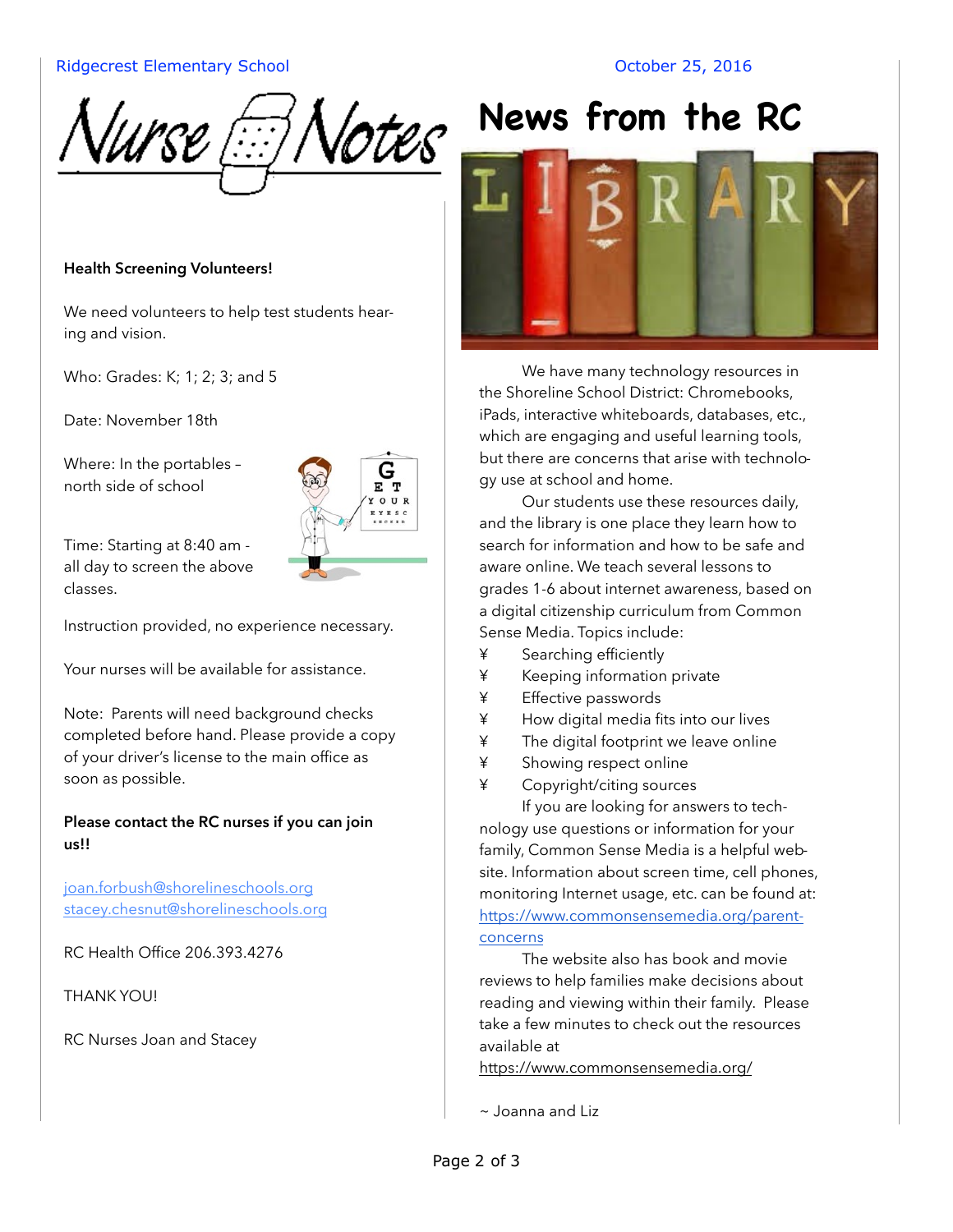#### Ridgecrest Elementary School and Controller and Corporation Corporation Corporation Corporation October 25, 2016



## **Health Screening Volunteers!**

We need volunteers to help test students hearing and vision.

Who: Grades: K; 1; 2; 3; and 5

Date: November 18th

Where: In the portables – north side of school



Time: Starting at 8:40 am all day to screen the above classes.

Instruction provided, no experience necessary.

Your nurses will be available for assistance.

Note: Parents will need background checks completed before hand. Please provide a copy of your driver's license to the main office as soon as possible.

**Please contact the RC nurses if you can join us!!** 

[joan.forbush@shorelineschools.org](mailto:joan.forbush@shorelineschools.org) [stacey.chesnut@shorelineschools.org](mailto:stacey.chesnut@shorelineschools.org)

RC Health Office 206.393.4276

THANK YOU!

RC Nurses Joan and Stacey



We have many technology resources in the Shoreline School District: Chromebooks, iPads, interactive whiteboards, databases, etc., which are engaging and useful learning tools, but there are concerns that arise with technology use at school and home.

Our students use these resources daily, and the library is one place they learn how to search for information and how to be safe and aware online. We teach several lessons to grades 1-6 about internet awareness, based on a digital citizenship curriculum from Common Sense Media. Topics include:

- ¥ Searching efficiently
- ¥ Keeping information private
- ¥ Effective passwords
- ¥ How digital media fits into our lives
- ¥ The digital footprint we leave online
- ¥ Showing respect online
- ¥ Copyright/citing sources

If you are looking for answers to technology use questions or information for your family, Common Sense Media is a helpful website. Information about screen time, cell phones, monitoring Internet usage, etc. can be found at: https://www.commonsensemedia.org/parentconcerns

 The website also has book and movie reviews to help families make decisions about reading and viewing within their family. Please take a few minutes to check out the resources available at

<https://www.commonsensemedia.org/>

~ Joanna and Liz